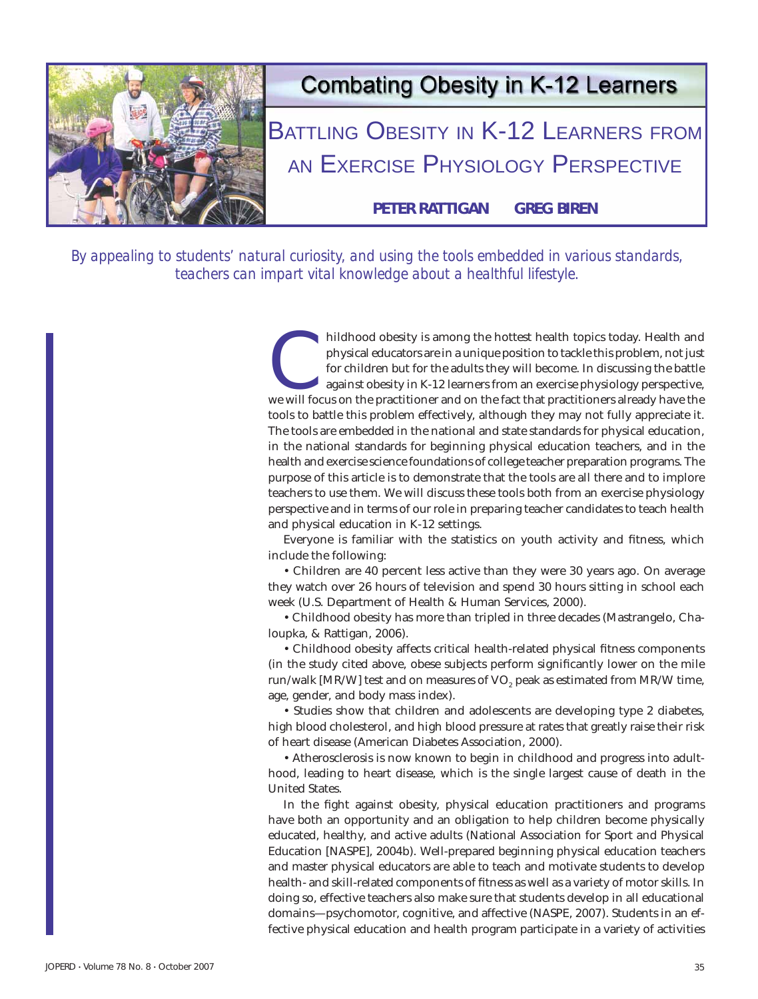

*By appealing to students' natural curiosity, and using the tools embedded in various standards, teachers can impart vital knowledge about a healthful lifestyle.*

> hildhood obesity is among the hottest health topics today. Health and physical educators are in a unique position to tackle this problem, not just for children but for the adults they will become. In discussing the battle physical educators are in a unique position to tackle this problem, not just for children but for the adults they will become. In discussing the battle against obesity in K-12 learners from an exercise physiology perspective, tools to battle this problem effectively, although they may not fully appreciate it. The tools are embedded in the national and state standards for physical education, in the national standards for beginning physical education teachers, and in the health and exercise science foundations of college teacher preparation programs. The purpose of this article is to demonstrate that the tools are all there and to implore teachers to use them. We will discuss these tools both from an exercise physiology perspective and in terms of our role in preparing teacher candidates to teach health and physical education in K-12 settings.

> Everyone is familiar with the statistics on youth activity and fitness, which include the following:

> • Children are 40 percent less active than they were 30 years ago. On average they watch over 26 hours of television and spend 30 hours sitting in school each week (U.S. Department of Health & Human Services, 2000).

> • Childhood obesity has more than tripled in three decades (Mastrangelo, Chaloupka, & Rattigan, 2006).

> • Childhood obesity affects critical health-related physical fitness components (in the study cited above, obese subjects perform significantly lower on the mile run/walk [MR/W] test and on measures of VO<sub>2</sub> peak as estimated from MR/W time, age, gender, and body mass index).

> • Studies show that children and adolescents are developing type 2 diabetes, high blood cholesterol, and high blood pressure at rates that greatly raise their risk of heart disease (American Diabetes Association, 2000).

> • Atherosclerosis is now known to begin in childhood and progress into adulthood, leading to heart disease, which is the single largest cause of death in the United States.

> In the fight against obesity, physical education practitioners and programs have both an opportunity and an obligation to help children become physically educated, healthy, and active adults (National Association for Sport and Physical Education [NASPE], 2004b). Well-prepared beginning physical education teachers and master physical educators are able to teach and motivate students to develop health- and skill-related components of fitness as well as a variety of motor skills. In doing so, effective teachers also make sure that students develop in all educational domains—psychomotor, cognitive, and affective (NASPE, 2007). Students in an effective physical education and health program participate in a variety of activities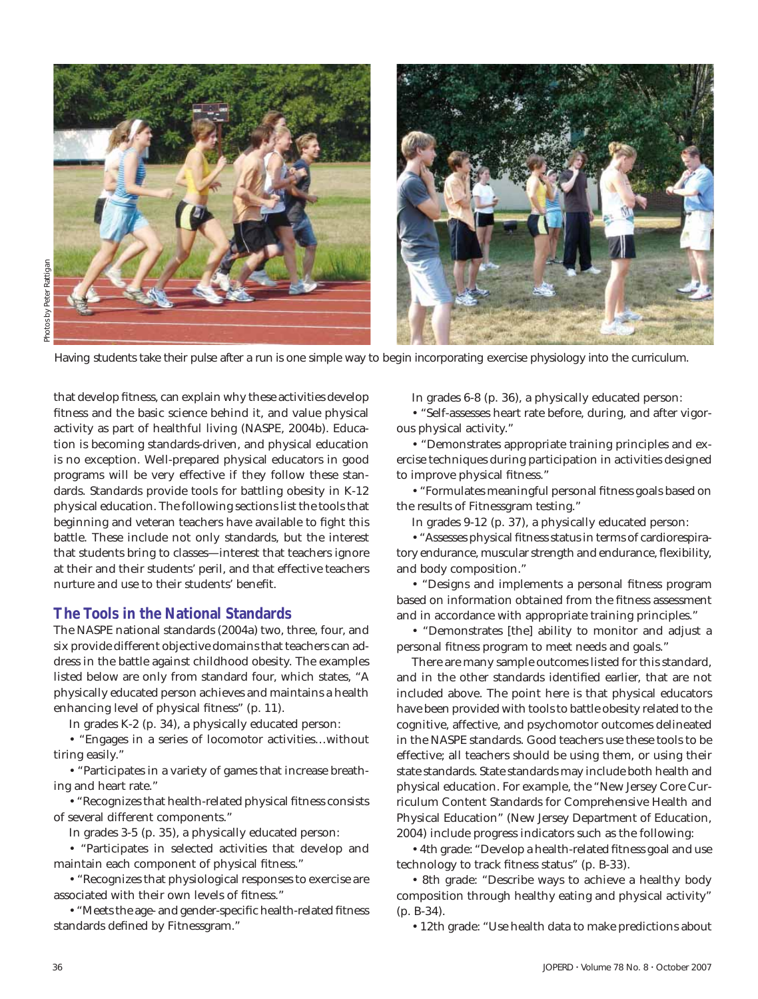

Having students take their pulse after a run is one simple way to begin incorporating exercise physiology into the curriculum.

that develop fitness, can explain why these activities develop fitness and the basic science behind it, and value physical activity as part of healthful living (NASPE, 2004b). Education is becoming standards-driven, and physical education is no exception. Well-prepared physical educators in good programs will be very effective if they follow these standards. Standards provide tools for battling obesity in K-12 physical education. The following sections list the tools that beginning and veteran teachers have available to fight this battle. These include not only standards, but the interest that students bring to classes—interest that teachers ignore at their and their students' peril, and that effective teachers nurture and use to their students' benefit.

### **The Tools in the National Standards**

The NASPE national standards (2004a) two, three, four, and six provide different objective domains that teachers can address in the battle against childhood obesity. The examples listed below are only from standard four, which states, "A physically educated person achieves and maintains a health enhancing level of physical fitness" (p. 11).

In grades K-2 (p. 34), a physically educated person:

• "Engages in a series of locomotor activities…without tiring easily."

• "Participates in a variety of games that increase breathing and heart rate."

• "Recognizes that health-related physical fitness consists of several different components."

In grades 3-5 (p. 35), a physically educated person:

• "Participates in selected activities that develop and maintain each component of physical fitness."

• "Recognizes that physiological responses to exercise are associated with their own levels of fitness."

• "Meets the age- and gender-specific health-related fitness standards defined by Fitnessgram."

In grades 6-8 (p. 36), a physically educated person:

• "Self-assesses heart rate before, during, and after vigorous physical activity."

• "Demonstrates appropriate training principles and exercise techniques during participation in activities designed to improve physical fitness."

• "Formulates meaningful personal fitness goals based on the results of Fitnessgram testing."

In grades 9-12 (p. 37), a physically educated person:

• "Assesses physical fitness status in terms of cardiorespiratory endurance, muscular strength and endurance, flexibility, and body composition."

• "Designs and implements a personal fitness program based on information obtained from the fitness assessment and in accordance with appropriate training principles."

• "Demonstrates [the] ability to monitor and adjust a personal fitness program to meet needs and goals."

There are many sample outcomes listed for this standard, and in the other standards identified earlier, that are not included above. The point here is that physical educators have been provided with tools to battle obesity related to the cognitive, affective, and psychomotor outcomes delineated in the NASPE standards. Good teachers use these tools to be effective; all teachers should be using them, or using their state standards. State standards may include both health and physical education. For example, the "New Jersey Core Curriculum Content Standards for Comprehensive Health and Physical Education" (New Jersey Department of Education, 2004) include progress indicators such as the following:

• 4th grade: "Develop a health-related fitness goal and use technology to track fitness status" (p. B-33).

• 8th grade: "Describe ways to achieve a healthy body composition through healthy eating and physical activity" (p. B-34).

• 12th grade: "Use health data to make predictions about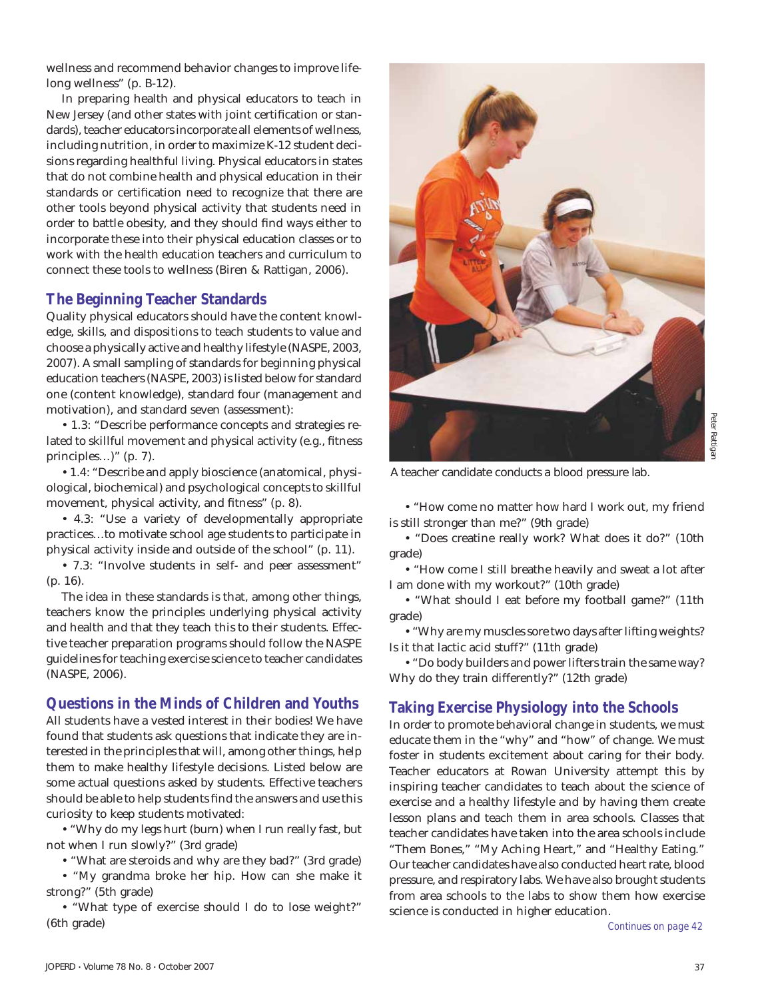wellness and recommend behavior changes to improve lifelong wellness" (p. B-12).

In preparing health and physical educators to teach in New Jersey (and other states with joint certification or standards), teacher educators incorporate all elements of wellness, including nutrition, in order to maximize K-12 student decisions regarding healthful living. Physical educators in states that do not combine health and physical education in their standards or certification need to recognize that there are other tools beyond physical activity that students need in order to battle obesity, and they should find ways either to incorporate these into their physical education classes or to work with the health education teachers and curriculum to connect these tools to wellness (Biren & Rattigan, 2006).

## **The Beginning Teacher Standards**

Quality physical educators should have the content knowledge, skills, and dispositions to teach students to value and choose a physically active and healthy lifestyle (NASPE, 2003, 2007). A small sampling of standards for beginning physical education teachers (NASPE, 2003) is listed below for standard one (content knowledge), standard four (management and motivation), and standard seven (assessment):

• 1.3: "Describe performance concepts and strategies related to skillful movement and physical activity (e.g., fitness principles…)" (p. 7).

• 1.4: "Describe and apply bioscience (anatomical, physiological, biochemical) and psychological concepts to skillful movement, physical activity, and fitness" (p. 8).

• 4.3: "Use a variety of developmentally appropriate practices…to motivate school age students to participate in physical activity inside and outside of the school" (p. 11).

• 7.3: "Involve students in self- and peer assessment" (p. 16).

The idea in these standards is that, among other things, teachers know the principles underlying physical activity and health and that they teach this to their students. Effective teacher preparation programs should follow the NASPE guidelines for teaching exercise science to teacher candidates (NASPE, 2006).

### **Questions in the Minds of Children and Youths**

All students have a vested interest in their bodies! We have found that students ask questions that indicate they are interested in the principles that will, among other things, help them to make healthy lifestyle decisions. Listed below are some actual questions asked by students. Effective teachers should be able to help students find the answers and use this curiosity to keep students motivated:

• "Why do my legs hurt (burn) when I run really fast, but not when I run slowly?" (3rd grade)

• "What are steroids and why are they bad?" (3rd grade)

• "My grandma broke her hip. How can she make it strong?" (5th grade)

• "What type of exercise should I do to lose weight?" (6th grade)



Peter Rattigan Peter Rattigan

A teacher candidate conducts a blood pressure lab.

• "How come no matter how hard I work out, my friend is still stronger than me?" (9th grade)

• "Does creatine really work? What does it do?" (10th grade)

• "How come I still breathe heavily and sweat a lot after I am done with my workout?" (10th grade)

• "What should I eat before my football game?" (11th grade)

• "Why are my muscles sore two days after lifting weights? Is it that lactic acid stuff?" (11th grade)

• "Do body builders and power lifters train the same way? Why do they train differently?" (12th grade)

## **Taking Exercise Physiology into the Schools**

In order to promote behavioral change in students, we must educate them in the "why" and "how" of change. We must foster in students excitement about caring for their body. Teacher educators at Rowan University attempt this by inspiring teacher candidates to teach about the science of exercise and a healthy lifestyle and by having them create lesson plans and teach them in area schools. Classes that teacher candidates have taken into the area schools include "Them Bones," "My Aching Heart," and "Healthy Eating." Our teacher candidates have also conducted heart rate, blood pressure, and respiratory labs. We have also brought students from area schools to the labs to show them how exercise science is conducted in higher education.

*Continues on page 42*